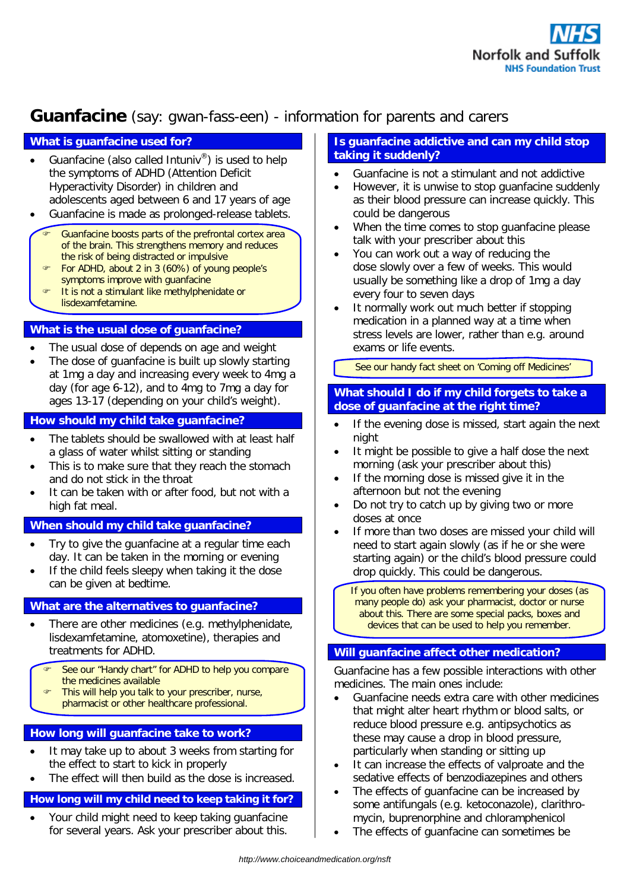

# **Guanfacine** (say: gwan-fass-een) - information for parents and carers

# **What is guanfacine used for?**

- Guanfacine (also called Intuniv<sup>®</sup>) is used to help the symptoms of ADHD (Attention Deficit Hyperactivity Disorder) in children and adolescents aged between 6 and 17 years of age
- Guanfacine is made as prolonged-release tablets.
	- Guanfacine boosts parts of the prefrontal cortex area of the brain. This strengthens memory and reduces the risk of being distracted or impulsive
	- For ADHD, about 2 in 3 (60%) of young people's symptoms improve with guanfacine
	- It is not a stimulant like methylphenidate or
	- lisdexamfetamine.

# **What is the usual dose of guanfacine?**

- The usual dose of depends on age and weight
- The dose of guanfacine is built up slowly starting at 1mg a day and increasing every week to 4mg a day (for age 6-12), and to 4mg to 7mg a day for ages 13-17 (depending on your child's weight).

# **How should my child take guanfacine?**

- The tablets should be swallowed with at least half a glass of water whilst sitting or standing
- This is to make sure that they reach the stomach and do not stick in the throat
- It can be taken with or after food, but not with a high fat meal.

#### **When should my child take guanfacine?**

- Try to give the guanfacine at a regular time each day. It can be taken in the morning or evening
- If the child feels sleepy when taking it the dose can be given at bedtime.

# **What are the alternatives to guanfacine?**

- There are other medicines (e.g. methylphenidate, lisdexamfetamine, atomoxetine), therapies and treatments for ADHD.
	- See our "Handy chart" for ADHD to help you compare the medicines available
	- This will help you talk to your prescriber, nurse,
	- pharmacist or other healthcare professional.

#### **How long will guanfacine take to work?**

- It may take up to about 3 weeks from starting for the effect to start to kick in properly
- The effect will then build as the dose is increased.

# **How long will my child need to keep taking it for?**

 Your child might need to keep taking guanfacine for several years. Ask your prescriber about this.

### **Is guanfacine addictive and can my child stop taking it suddenly?**

- Guanfacine is not a stimulant and not addictive
- However, it is unwise to stop guanfacine suddenly as their blood pressure can increase quickly. This could be dangerous
- When the time comes to stop guanfacine please talk with your prescriber about this
- You can work out a way of reducing the dose slowly over a few of weeks. This would usually be something like a drop of 1mg a day every four to seven days
- It normally work out much better if stopping medication in a planned way at a time when stress levels are lower, rather than e.g. around exams or life events.

*See our handy fact sheet on 'Coming off Medicines'* 

#### **What should I do if my child forgets to take a dose of guanfacine at the right time?**

- If the evening dose is missed, start again the next night
- It might be possible to give a half dose the next morning (ask your prescriber about this)
- If the morning dose is missed give it in the afternoon but not the evening
- Do not try to catch up by giving two or more doses at once
- If more than two doses are missed your child will need to start again slowly (as if he or she were starting again) or the child's blood pressure could drop quickly. This could be dangerous.
	- If you often have problems remembering your doses (as many people do) ask your pharmacist, doctor or nurse about this. There are some special packs, boxes and devices that can be used to help you remember.

### **Will guanfacine affect other medication?**

Guanfacine has a few possible interactions with other medicines. The main ones include:

- Guanfacine needs extra care with other medicines that might alter heart rhythm or blood salts, or reduce blood pressure e.g. antipsychotics as these may cause a drop in blood pressure, particularly when standing or sitting up
- It can increase the effects of valproate and the sedative effects of benzodiazepines and others
- The effects of guanfacine can be increased by some antifungals (e.g. ketoconazole), clarithromycin, buprenorphine and chloramphenicol
- The effects of guanfacine can sometimes be